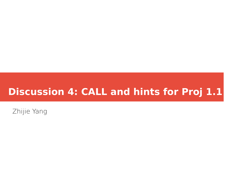## **Discussion 4: CALL and hints for Proj 1.1**

Zhijie Yang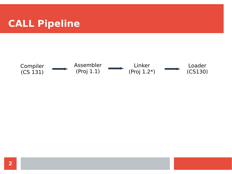# **CALL Pipeline**

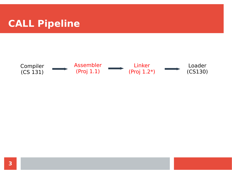## **CALL Pipeline**

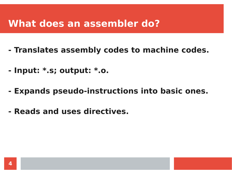#### **What does an assembler do?**

- **Translates assembly codes to machine codes.**
- **Input: \*.s; output: \*.o.**
- **Expands pseudo-instructions into basic ones.**
- **Reads and uses directives.**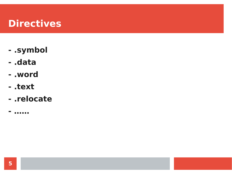## **Directives**

- .symbol
- .data
- .word
- .text
- .relocate
- . . . . . .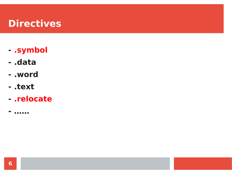## **Directives**

- .symbol
- .data
- .word
- .text
- .relocate
- . . . . . .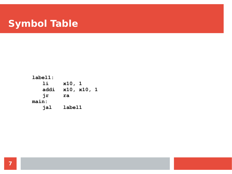## **Symbol Table**

label1:  $1i$  $x10, 1$  $x10, x10, 1$ addi jr ra  $main:$ jal label1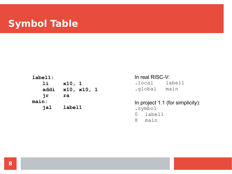## **Symbol Table**

| ${\tt label1:}$ |             |  |
|-----------------|-------------|--|
| li              | x10, 1      |  |
| addi            | x10, x10, 1 |  |
| jr              | ra          |  |
| main:           |             |  |
| jal             | label1      |  |

In real RISC-V: .local label1 .global main

In project 1.1 (for simplicity): .symbol 0 label1 8 main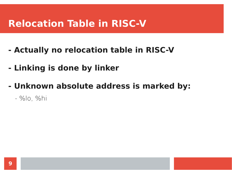## **Relocation Table in RISC-V**

- **Actually no relocation table in RISC-V**
- **Linking is done by linker**
- **Unknown absolute address is marked by:**
	- %lo, %hi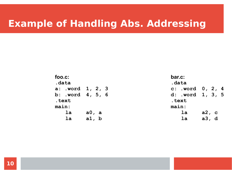| foo.c:<br>.data  |       | bar.c:<br>.data    |       |
|------------------|-------|--------------------|-------|
| a: .word 1, 2, 3 |       | c: .word $0, 2, 4$ |       |
| b: .word 4, 5, 6 |       | d: .word 1, 3, 5   |       |
| .text            |       | .text              |       |
| main:            |       | main:              |       |
| la               | a0, a | la                 | a2, c |
| 1a               | a1, b | 1a                 | a3, d |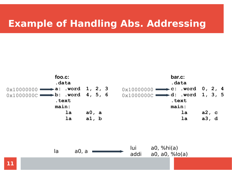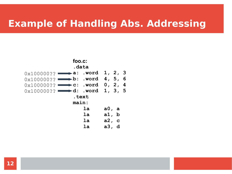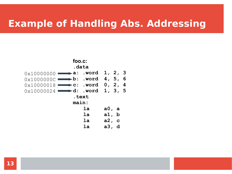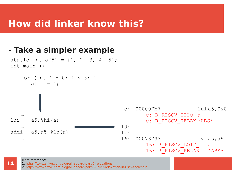### **How did linker know this?**

#### **- Take a simpler example**

```
…
lui a5,8hi(a)…
addi a5, a5, \frac{6}{6}lo(a)…
static int a[5] = \{1, 2, 3, 4, 5\};
int main ()
{
   for (int i = 0; i < 5; i++)
      a[i] = i;}
                                     c: 000007b7 lui a5,0x0
                                           c: R_RISCV_HI20 a
                                           c: R_RISCV_RELAX *ABS*
                                    10: … 
                                    14: … 
                                    16: 00078793 mv a5,a5
                                           16: R_RISCV_LO12_I a
                                           16: R RISCV RELAX *ABS*
```
#### More reference:

1. <https://www.sifive.com/blog/all-aboard-part-2-relocations>

2. <https://www.sifive.com/blog/all-aboard-part-3-linker-relaxation-in-riscv-toolchain>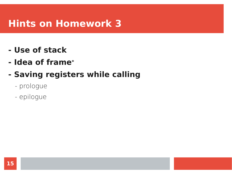### **Hints on Homework 3**

- **Use of stack**
- **Idea of frame\***

#### **- Saving registers while calling**

- prologue
- epilogue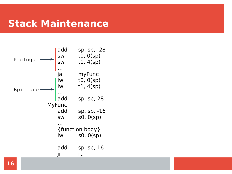### **Stack Maintenance**